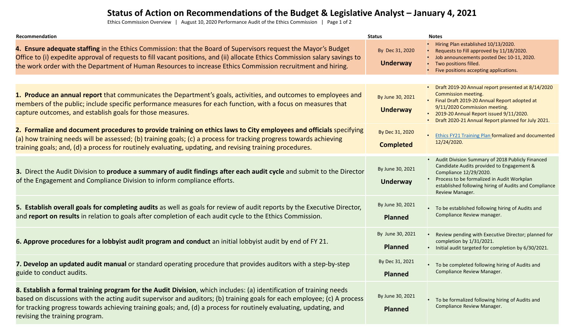## **Status of Action on Recommendations of the Budget & Legislative Analyst – January 4, 2021**

Ethics Commission Overview | August 10, 2020 Performance Audit of the Ethics Commission | Page 1 of 2

| Recommendation                                                                                                                                                                                                                                                                                                                                                                                         | <b>Status</b>                       | <b>Notes</b>                                                                                                                                                                                                                                                        |
|--------------------------------------------------------------------------------------------------------------------------------------------------------------------------------------------------------------------------------------------------------------------------------------------------------------------------------------------------------------------------------------------------------|-------------------------------------|---------------------------------------------------------------------------------------------------------------------------------------------------------------------------------------------------------------------------------------------------------------------|
| 4. Ensure adequate staffing in the Ethics Commission: that the Board of Supervisors request the Mayor's Budget<br>Office to (i) expedite approval of requests to fill vacant positions, and (ii) allocate Ethics Commission salary savings to<br>the work order with the Department of Human Resources to increase Ethics Commission recruitment and hiring.                                           | By Dec 31, 2020<br><b>Underway</b>  | • Hiring Plan established 10/13/2020.<br>• Requests to Fill approved by 11/18/2020.<br>• Job announcements posted Dec 10-11, 2020.<br>• Two positions filled.<br>• Five positions accepting applications.                                                           |
|                                                                                                                                                                                                                                                                                                                                                                                                        |                                     |                                                                                                                                                                                                                                                                     |
| 1. Produce an annual report that communicates the Department's goals, activities, and outcomes to employees and<br>members of the public; include specific performance measures for each function, with a focus on measures that<br>capture outcomes, and establish goals for those measures.                                                                                                          | By June 30, 2021<br><b>Underway</b> | • Draft 2019-20 Annual report presented at 8/14/2020<br>Commission meeting.<br>• Final Draft 2019-20 Annual Report adopted at<br>9/11/2020 Commission meeting.<br>• 2019-20 Annual Report issued 9/11/2020.<br>• Draft 2020-21 Annual Report planned for July 2021. |
| 2. Formalize and document procedures to provide training on ethics laws to City employees and officials specifying<br>(a) how training needs will be assessed; (b) training goals; (c) a process for tracking progress towards achieving<br>training goals; and, (d) a process for routinely evaluating, updating, and revising training procedures.                                                   | By Dec 31, 2020<br><b>Completed</b> | • Ethics FY21 Training Plan formalized and documented<br>12/24/2020.                                                                                                                                                                                                |
| 3. Direct the Audit Division to produce a summary of audit findings after each audit cycle and submit to the Director<br>of the Engagement and Compliance Division to inform compliance efforts.                                                                                                                                                                                                       | By June 30, 2021<br><b>Underway</b> | • Audit Division Summary of 2018 Publicly Financed<br>Candidate Audits provided to Engagement &<br>Compliance 12/29/2020.<br>Process to be formalized in Audit Workplan<br>established following hiring of Audits and Compliance<br>Review Manager.                 |
| 5. Establish overall goals for completing audits as well as goals for review of audit reports by the Executive Director,<br>and report on results in relation to goals after completion of each audit cycle to the Ethics Commission.                                                                                                                                                                  | By June 30, 2021<br><b>Planned</b>  | • To be established following hiring of Audits and<br>Compliance Review manager.                                                                                                                                                                                    |
| 6. Approve procedures for a lobbyist audit program and conduct an initial lobbyist audit by end of FY 21.                                                                                                                                                                                                                                                                                              | By June 30, 2021<br><b>Planned</b>  | • Review pending with Executive Director; planned for<br>completion by 1/31/2021.<br>• Initial audit targeted for completion by 6/30/2021.                                                                                                                          |
| 7. Develop an updated audit manual or standard operating procedure that provides auditors with a step-by-step<br>guide to conduct audits.                                                                                                                                                                                                                                                              | By Dec 31, 2021<br><b>Planned</b>   | • To be completed following hiring of Audits and<br><b>Compliance Review Manager.</b>                                                                                                                                                                               |
| 8. Establish a formal training program for the Audit Division, which includes: (a) identification of training needs<br>based on discussions with the acting audit supervisor and auditors; (b) training goals for each employee; (c) A process<br>for tracking progress towards achieving training goals; and, (d) a process for routinely evaluating, updating, and<br>revising the training program. | By June 30, 2021<br><b>Planned</b>  | • To be formalized following hiring of Audits and<br>Compliance Review Manager.                                                                                                                                                                                     |